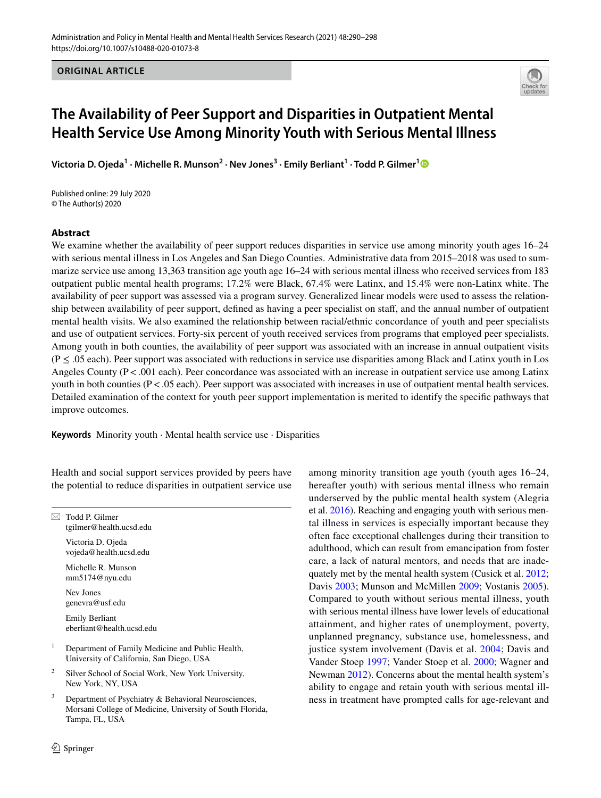**ORIGINAL ARTICLE**



# **The Availability of Peer Support and Disparities in Outpatient Mental Health Service Use Among Minority Youth with Serious Mental Illness**

**Victoria D. Ojeda<sup>1</sup> · Michelle R. Munson2 · Nev Jones3 · Emily Berliant1 · Todd P. Gilmer[1](http://orcid.org/0000-0002-8360-3522)**

Published online: 29 July 2020 © The Author(s) 2020

#### **Abstract**

We examine whether the availability of peer support reduces disparities in service use among minority youth ages 16–24 with serious mental illness in Los Angeles and San Diego Counties. Administrative data from 2015–2018 was used to summarize service use among 13,363 transition age youth age 16–24 with serious mental illness who received services from 183 outpatient public mental health programs; 17.2% were Black, 67.4% were Latinx, and 15.4% were non-Latinx white. The availability of peer support was assessed via a program survey. Generalized linear models were used to assess the relationship between availability of peer support, defined as having a peer specialist on staff, and the annual number of outpatient mental health visits. We also examined the relationship between racial/ethnic concordance of youth and peer specialists and use of outpatient services. Forty-six percent of youth received services from programs that employed peer specialists. Among youth in both counties, the availability of peer support was associated with an increase in annual outpatient visits  $(P \le 0.05$  each). Peer support was associated with reductions in service use disparities among Black and Latinx youth in Los Angeles County  $(P < .001$  each). Peer concordance was associated with an increase in outpatient service use among Latinx youth in both counties (P<.05 each). Peer support was associated with increases in use of outpatient mental health services. Detailed examination of the context for youth peer support implementation is merited to identify the specifc pathways that improve outcomes.

**Keywords** Minority youth · Mental health service use · Disparities

Health and social support services provided by peers have the potential to reduce disparities in outpatient service use

 $\boxtimes$  Todd P. Gilmer tgilmer@health.ucsd.edu Victoria D. Ojeda vojeda@health.ucsd.edu

> Michelle R. Munson mm5174@nyu.edu

Nev Jones genevra@usf.edu

Emily Berliant eberliant@health.ucsd.edu

- <sup>1</sup> Department of Family Medicine and Public Health, University of California, San Diego, USA
- <sup>2</sup> Silver School of Social Work, New York University, New York, NY, USA
- Department of Psychiatry & Behavioral Neurosciences, Morsani College of Medicine, University of South Florida, Tampa, FL, USA

among minority transition age youth (youth ages 16–24, hereafter youth) with serious mental illness who remain underserved by the public mental health system (Alegria et al. [2016\)](#page-6-0). Reaching and engaging youth with serious mental illness in services is especially important because they often face exceptional challenges during their transition to adulthood, which can result from emancipation from foster care, a lack of natural mentors, and needs that are inadequately met by the mental health system (Cusick et al. [2012](#page-7-0); Davis [2003](#page-7-1); Munson and McMillen [2009](#page-7-2); Vostanis [2005](#page-8-0)). Compared to youth without serious mental illness, youth with serious mental illness have lower levels of educational attainment, and higher rates of unemployment, poverty, unplanned pregnancy, substance use, homelessness, and justice system involvement (Davis et al. [2004;](#page-7-3) Davis and Vander Stoep [1997;](#page-7-4) Vander Stoep et al. [2000;](#page-8-1) Wagner and Newman [2012\)](#page-8-2). Concerns about the mental health system's ability to engage and retain youth with serious mental illness in treatment have prompted calls for age-relevant and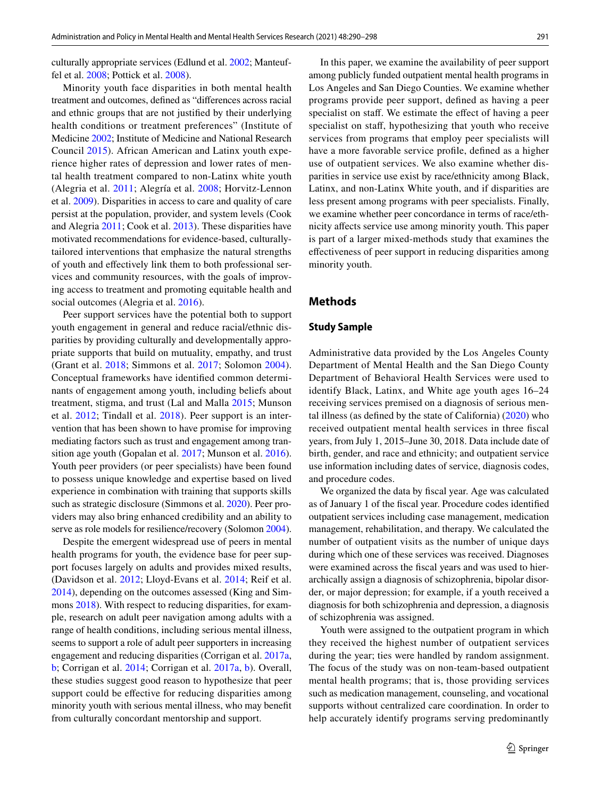culturally appropriate services (Edlund et al. [2002](#page-7-5); Manteuffel et al. [2008;](#page-7-6) Pottick et al. [2008](#page-7-7)).

Minority youth face disparities in both mental health treatment and outcomes, defned as "diferences across racial and ethnic groups that are not justifed by their underlying health conditions or treatment preferences" (Institute of Medicine [2002;](#page-7-8) Institute of Medicine and National Research Council [2015\)](#page-7-9). African American and Latinx youth experience higher rates of depression and lower rates of mental health treatment compared to non-Latinx white youth (Alegria et al. [2011;](#page-6-1) Alegría et al. [2008;](#page-6-2) Horvitz-Lennon et al. [2009\)](#page-7-10). Disparities in access to care and quality of care persist at the population, provider, and system levels (Cook and Alegria [2011;](#page-6-3) Cook et al. [2013\)](#page-6-4). These disparities have motivated recommendations for evidence-based, culturallytailored interventions that emphasize the natural strengths of youth and efectively link them to both professional services and community resources, with the goals of improving access to treatment and promoting equitable health and social outcomes (Alegria et al. [2016\)](#page-6-0).

Peer support services have the potential both to support youth engagement in general and reduce racial/ethnic disparities by providing culturally and developmentally appropriate supports that build on mutuality, empathy, and trust (Grant et al. [2018;](#page-7-11) Simmons et al. [2017;](#page-8-3) Solomon [2004](#page-8-4)). Conceptual frameworks have identifed common determinants of engagement among youth, including beliefs about treatment, stigma, and trust (Lal and Malla [2015](#page-7-12); Munson et al. [2012](#page-7-13); Tindall et al. [2018\)](#page-8-5). Peer support is an intervention that has been shown to have promise for improving mediating factors such as trust and engagement among transition age youth (Gopalan et al. [2017](#page-7-14); Munson et al. [2016](#page-7-15)). Youth peer providers (or peer specialists) have been found to possess unique knowledge and expertise based on lived experience in combination with training that supports skills such as strategic disclosure (Simmons et al. [2020\)](#page-8-6). Peer providers may also bring enhanced credibility and an ability to serve as role models for resilience/recovery (Solomon [2004](#page-8-4)).

Despite the emergent widespread use of peers in mental health programs for youth, the evidence base for peer support focuses largely on adults and provides mixed results, (Davidson et al. [2012](#page-7-16); Lloyd-Evans et al. [2014](#page-7-17); Reif et al. [2014](#page-7-18)), depending on the outcomes assessed (King and Simmons [2018](#page-7-19)). With respect to reducing disparities, for example, research on adult peer navigation among adults with a range of health conditions, including serious mental illness, seems to support a role of adult peer supporters in increasing engagement and reducing disparities (Corrigan et al. [2017a,](#page-6-5) [b](#page-7-20); Corrigan et al. [2014](#page-7-21); Corrigan et al. [2017a](#page-6-5), [b\)](#page-7-20). Overall, these studies suggest good reason to hypothesize that peer support could be effective for reducing disparities among minority youth with serious mental illness, who may beneft from culturally concordant mentorship and support.

In this paper, we examine the availability of peer support among publicly funded outpatient mental health programs in Los Angeles and San Diego Counties. We examine whether programs provide peer support, defned as having a peer specialist on staff. We estimate the effect of having a peer specialist on staf, hypothesizing that youth who receive services from programs that employ peer specialists will have a more favorable service profle, defned as a higher use of outpatient services. We also examine whether disparities in service use exist by race/ethnicity among Black, Latinx, and non-Latinx White youth, and if disparities are less present among programs with peer specialists. Finally, we examine whether peer concordance in terms of race/ethnicity afects service use among minority youth. This paper is part of a larger mixed-methods study that examines the efectiveness of peer support in reducing disparities among minority youth.

## **Methods**

#### **Study Sample**

Administrative data provided by the Los Angeles County Department of Mental Health and the San Diego County Department of Behavioral Health Services were used to identify Black, Latinx, and White age youth ages 16–24 receiving services premised on a diagnosis of serious mental illness (as defned by the state of California) [\(2020](#page-7-22)) who received outpatient mental health services in three fscal years, from July 1, 2015–June 30, 2018. Data include date of birth, gender, and race and ethnicity; and outpatient service use information including dates of service, diagnosis codes, and procedure codes.

We organized the data by fiscal year. Age was calculated as of January 1 of the fscal year. Procedure codes identifed outpatient services including case management, medication management, rehabilitation, and therapy. We calculated the number of outpatient visits as the number of unique days during which one of these services was received. Diagnoses were examined across the fscal years and was used to hierarchically assign a diagnosis of schizophrenia, bipolar disorder, or major depression; for example, if a youth received a diagnosis for both schizophrenia and depression, a diagnosis of schizophrenia was assigned.

Youth were assigned to the outpatient program in which they received the highest number of outpatient services during the year; ties were handled by random assignment. The focus of the study was on non-team-based outpatient mental health programs; that is, those providing services such as medication management, counseling, and vocational supports without centralized care coordination. In order to help accurately identify programs serving predominantly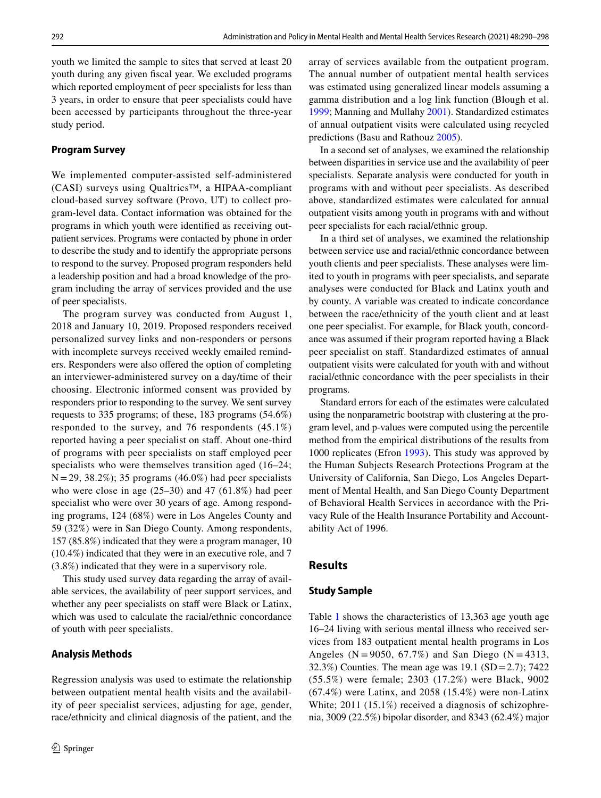youth we limited the sample to sites that served at least 20 youth during any given fscal year. We excluded programs which reported employment of peer specialists for less than 3 years, in order to ensure that peer specialists could have been accessed by participants throughout the three-year study period.

## **Program Survey**

We implemented computer-assisted self-administered (CASI) surveys using Qualtrics™, a HIPAA-compliant cloud-based survey software (Provo, UT) to collect program-level data. Contact information was obtained for the programs in which youth were identifed as receiving outpatient services. Programs were contacted by phone in order to describe the study and to identify the appropriate persons to respond to the survey. Proposed program responders held a leadership position and had a broad knowledge of the program including the array of services provided and the use of peer specialists.

The program survey was conducted from August 1, 2018 and January 10, 2019. Proposed responders received personalized survey links and non-responders or persons with incomplete surveys received weekly emailed reminders. Responders were also ofered the option of completing an interviewer-administered survey on a day/time of their choosing. Electronic informed consent was provided by responders prior to responding to the survey. We sent survey requests to 335 programs; of these, 183 programs (54.6%) responded to the survey, and 76 respondents (45.1%) reported having a peer specialist on staff. About one-third of programs with peer specialists on staff employed peer specialists who were themselves transition aged (16–24;  $N = 29, 38.2\%$ ; 35 programs (46.0%) had peer specialists who were close in age  $(25-30)$  and 47  $(61.8\%)$  had peer specialist who were over 30 years of age. Among responding programs, 124 (68%) were in Los Angeles County and 59 (32%) were in San Diego County. Among respondents, 157 (85.8%) indicated that they were a program manager, 10 (10.4%) indicated that they were in an executive role, and 7 (3.8%) indicated that they were in a supervisory role.

This study used survey data regarding the array of available services, the availability of peer support services, and whether any peer specialists on staff were Black or Latinx, which was used to calculate the racial/ethnic concordance of youth with peer specialists.

#### **Analysis Methods**

Regression analysis was used to estimate the relationship between outpatient mental health visits and the availability of peer specialist services, adjusting for age, gender, race/ethnicity and clinical diagnosis of the patient, and the array of services available from the outpatient program. The annual number of outpatient mental health services was estimated using generalized linear models assuming a gamma distribution and a log link function (Blough et al. [1999](#page-6-6); Manning and Mullahy [2001\)](#page-7-23). Standardized estimates of annual outpatient visits were calculated using recycled predictions (Basu and Rathouz [2005\)](#page-6-7).

In a second set of analyses, we examined the relationship between disparities in service use and the availability of peer specialists. Separate analysis were conducted for youth in programs with and without peer specialists. As described above, standardized estimates were calculated for annual outpatient visits among youth in programs with and without peer specialists for each racial/ethnic group.

In a third set of analyses, we examined the relationship between service use and racial/ethnic concordance between youth clients and peer specialists. These analyses were limited to youth in programs with peer specialists, and separate analyses were conducted for Black and Latinx youth and by county. A variable was created to indicate concordance between the race/ethnicity of the youth client and at least one peer specialist. For example, for Black youth, concordance was assumed if their program reported having a Black peer specialist on staf. Standardized estimates of annual outpatient visits were calculated for youth with and without racial/ethnic concordance with the peer specialists in their programs.

Standard errors for each of the estimates were calculated using the nonparametric bootstrap with clustering at the program level, and p-values were computed using the percentile method from the empirical distributions of the results from 1000 replicates (Efron [1993](#page-7-24)). This study was approved by the Human Subjects Research Protections Program at the University of California, San Diego, Los Angeles Department of Mental Health, and San Diego County Department of Behavioral Health Services in accordance with the Privacy Rule of the Health Insurance Portability and Accountability Act of 1996.

#### **Results**

#### **Study Sample**

Table [1](#page-3-0) shows the characteristics of 13,363 age youth age 16–24 living with serious mental illness who received services from 183 outpatient mental health programs in Los Angeles ( $N = 9050$ , 67.7%) and San Diego ( $N = 4313$ , 32.3%) Counties. The mean age was 19.1 (SD=2.7); 7422 (55.5%) were female; 2303 (17.2%) were Black, 9002 (67.4%) were Latinx, and 2058 (15.4%) were non-Latinx White; 2011 (15.1%) received a diagnosis of schizophrenia, 3009 (22.5%) bipolar disorder, and 8343 (62.4%) major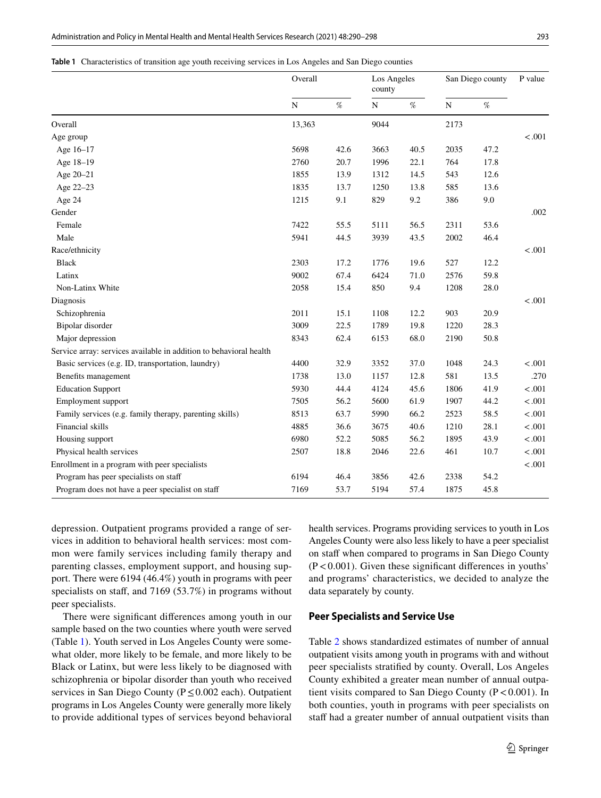<span id="page-3-0"></span>

|  | Table 1 Characteristics of transition age youth receiving services in Los Angeles and San Diego counties |  |  |  |  |  |  |  |  |
|--|----------------------------------------------------------------------------------------------------------|--|--|--|--|--|--|--|--|
|--|----------------------------------------------------------------------------------------------------------|--|--|--|--|--|--|--|--|

|                                                                    | Overall     |      | Los Angeles<br>county |      | San Diego county |      | P value |
|--------------------------------------------------------------------|-------------|------|-----------------------|------|------------------|------|---------|
|                                                                    | $\mathbf N$ | $\%$ | $\mathbf N$           | $\%$ | ${\bf N}$        | $\%$ |         |
| Overall                                                            | 13,363      |      | 9044                  |      | 2173             |      |         |
| Age group                                                          |             |      |                       |      |                  |      | < .001  |
| Age 16-17                                                          | 5698        | 42.6 | 3663                  | 40.5 | 2035             | 47.2 |         |
| Age 18-19                                                          | 2760        | 20.7 | 1996                  | 22.1 | 764              | 17.8 |         |
| Age 20-21                                                          | 1855        | 13.9 | 1312                  | 14.5 | 543              | 12.6 |         |
| Age 22-23                                                          | 1835        | 13.7 | 1250                  | 13.8 | 585              | 13.6 |         |
| Age 24                                                             | 1215        | 9.1  | 829                   | 9.2  | 386              | 9.0  |         |
| Gender                                                             |             |      |                       |      |                  |      | .002    |
| Female                                                             | 7422        | 55.5 | 5111                  | 56.5 | 2311             | 53.6 |         |
| Male                                                               | 5941        | 44.5 | 3939                  | 43.5 | 2002             | 46.4 |         |
| Race/ethnicity                                                     |             |      |                       |      |                  |      | $-.001$ |
| <b>Black</b>                                                       | 2303        | 17.2 | 1776                  | 19.6 | 527              | 12.2 |         |
| Latinx                                                             | 9002        | 67.4 | 6424                  | 71.0 | 2576             | 59.8 |         |
| Non-Latinx White                                                   | 2058        | 15.4 | 850                   | 9.4  | 1208             | 28.0 |         |
| Diagnosis                                                          |             |      |                       |      |                  |      | < .001  |
| Schizophrenia                                                      | 2011        | 15.1 | 1108                  | 12.2 | 903              | 20.9 |         |
| Bipolar disorder                                                   | 3009        | 22.5 | 1789                  | 19.8 | 1220             | 28.3 |         |
| Major depression                                                   | 8343        | 62.4 | 6153                  | 68.0 | 2190             | 50.8 |         |
| Service array: services available in addition to behavioral health |             |      |                       |      |                  |      |         |
| Basic services (e.g. ID, transportation, laundry)                  | 4400        | 32.9 | 3352                  | 37.0 | 1048             | 24.3 | < .001  |
| Benefits management                                                | 1738        | 13.0 | 1157                  | 12.8 | 581              | 13.5 | .270    |
| <b>Education Support</b>                                           | 5930        | 44.4 | 4124                  | 45.6 | 1806             | 41.9 | < .001  |
| Employment support                                                 | 7505        | 56.2 | 5600                  | 61.9 | 1907             | 44.2 | < .001  |
| Family services (e.g. family therapy, parenting skills)            | 8513        | 63.7 | 5990                  | 66.2 | 2523             | 58.5 | $-.001$ |
| Financial skills                                                   | 4885        | 36.6 | 3675                  | 40.6 | 1210             | 28.1 | < .001  |
| Housing support                                                    | 6980        | 52.2 | 5085                  | 56.2 | 1895             | 43.9 | < .001  |
| Physical health services                                           | 2507        | 18.8 | 2046                  | 22.6 | 461              | 10.7 | < .001  |
| Enrollment in a program with peer specialists                      |             |      |                       |      |                  |      | < .001  |
| Program has peer specialists on staff                              | 6194        | 46.4 | 3856                  | 42.6 | 2338             | 54.2 |         |
| Program does not have a peer specialist on staff                   | 7169        | 53.7 | 5194                  | 57.4 | 1875             | 45.8 |         |

depression. Outpatient programs provided a range of services in addition to behavioral health services: most common were family services including family therapy and parenting classes, employment support, and housing support. There were 6194 (46.4%) youth in programs with peer specialists on staff, and 7169 (53.7%) in programs without peer specialists.

There were signifcant diferences among youth in our sample based on the two counties where youth were served (Table [1](#page-3-0)). Youth served in Los Angeles County were somewhat older, more likely to be female, and more likely to be Black or Latinx, but were less likely to be diagnosed with schizophrenia or bipolar disorder than youth who received services in San Diego County (P≤0.002 each). Outpatient programs in Los Angeles County were generally more likely to provide additional types of services beyond behavioral health services. Programs providing services to youth in Los Angeles County were also less likely to have a peer specialist on staff when compared to programs in San Diego County  $(P<0.001)$ . Given these significant differences in youths' and programs' characteristics, we decided to analyze the data separately by county.

#### **Peer Specialists and Service Use**

Table [2](#page-4-0) shows standardized estimates of number of annual outpatient visits among youth in programs with and without peer specialists stratifed by county. Overall, Los Angeles County exhibited a greater mean number of annual outpatient visits compared to San Diego County ( $P < 0.001$ ). In both counties, youth in programs with peer specialists on staff had a greater number of annual outpatient visits than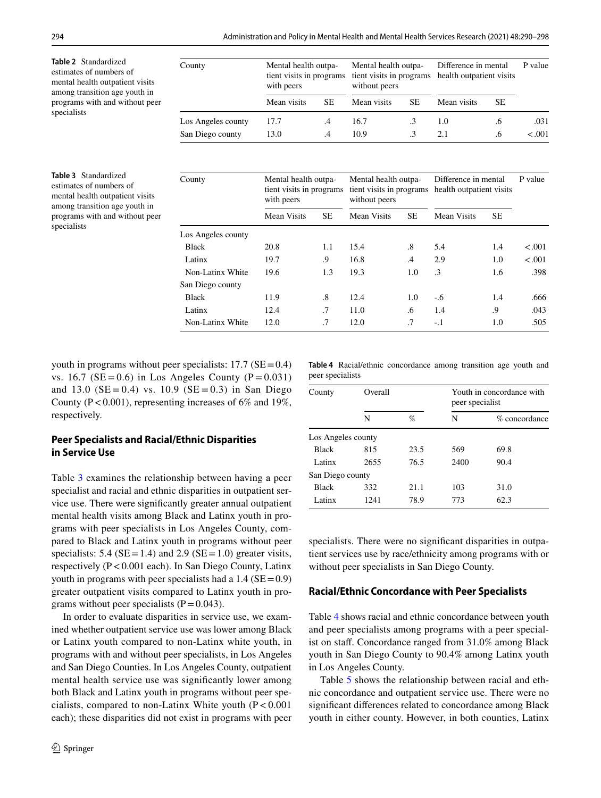<span id="page-4-1"></span><span id="page-4-0"></span>

| Table 2 Standardized<br>estimates of numbers of<br>mental health outpatient visits<br>among transition age youth in                                          | County             | Mental health outpa-<br>tient visits in programs<br>with peers |                 | Mental health outpa-<br>tient visits in programs<br>without peers |           | Difference in mental<br>health outpatient visits |           | P value |
|--------------------------------------------------------------------------------------------------------------------------------------------------------------|--------------------|----------------------------------------------------------------|-----------------|-------------------------------------------------------------------|-----------|--------------------------------------------------|-----------|---------|
| programs with and without peer                                                                                                                               |                    | Mean visits                                                    | <b>SE</b>       | Mean visits                                                       | <b>SE</b> | Mean visits                                      | SE        |         |
| specialists                                                                                                                                                  | Los Angeles county | 17.7                                                           | $.4\phantom{0}$ | 16.7                                                              | $\cdot$ 3 | 1.0                                              | .6        | .031    |
|                                                                                                                                                              | San Diego county   | 13.0                                                           | .4              | 10.9                                                              | $\cdot$ 3 | 2.1                                              | .6        | < .001  |
| <b>Table 3</b> Standardized<br>estimates of numbers of<br>mental health outpatient visits<br>among transition age youth in<br>programs with and without peer | County             | Mental health outpa-<br>tient visits in programs<br>with peers |                 | Mental health outpa-<br>tient visits in programs<br>without peers |           | Difference in mental<br>health outpatient visits |           | P value |
|                                                                                                                                                              |                    | <b>Mean Visits</b>                                             | <b>SE</b>       | <b>Mean Visits</b>                                                | <b>SE</b> | Mean Visits                                      | <b>SE</b> |         |
| specialists                                                                                                                                                  | Los Angeles county |                                                                |                 |                                                                   |           |                                                  |           |         |
|                                                                                                                                                              | <b>Black</b>       | 20.8                                                           | 1.1             | 15.4                                                              | .8        | 5.4                                              | 1.4       | < .001  |
|                                                                                                                                                              | Latinx             | 19.7                                                           | .9              | 16.8                                                              | .4        | 2.9                                              | 1.0       | < .001  |
|                                                                                                                                                              | Non-Latinx White   | 19.6                                                           | 1.3             | 19.3                                                              | 1.0       | $\cdot$ 3                                        | 1.6       | .398    |
|                                                                                                                                                              | San Diego county   |                                                                |                 |                                                                   |           |                                                  |           |         |
|                                                                                                                                                              | <b>Black</b>       | 11.9                                                           | .8              | 12.4                                                              | 1.0       | $-6$                                             | 1.4       | .666    |

youth in programs without peer specialists:  $17.7$  (SE=0.4) vs. 16.7 ( $SE = 0.6$ ) in Los Angeles County ( $P = 0.031$ ) and 13.0 ( $SE = 0.4$ ) vs. 10.9 ( $SE = 0.3$ ) in San Diego County ( $P < 0.001$ ), representing increases of 6% and 19%, respectively.

# **Peer Specialists and Racial/Ethnic Disparities in Service Use**

Table [3](#page-4-1) examines the relationship between having a peer specialist and racial and ethnic disparities in outpatient service use. There were signifcantly greater annual outpatient mental health visits among Black and Latinx youth in programs with peer specialists in Los Angeles County, compared to Black and Latinx youth in programs without peer specialists: 5.4 ( $SE = 1.4$ ) and 2.9 ( $SE = 1.0$ ) greater visits, respectively (P<0.001 each). In San Diego County, Latinx youth in programs with peer specialists had a  $1.4$  (SE = 0.9) greater outpatient visits compared to Latinx youth in programs without peer specialists  $(P=0.043)$ .

In order to evaluate disparities in service use, we examined whether outpatient service use was lower among Black or Latinx youth compared to non-Latinx white youth, in programs with and without peer specialists, in Los Angeles and San Diego Counties. In Los Angeles County, outpatient mental health service use was signifcantly lower among both Black and Latinx youth in programs without peer specialists, compared to non-Latinx White youth  $(P < 0.001)$ each); these disparities did not exist in programs with peer <span id="page-4-2"></span>**Table 4** Racial/ethnic concordance among transition age youth and peer specialists

Latinx 12.4 .7 11.0 .6 1.4 .9 .043 Non-Latinx White 12.0 .7 12.0 .7 -1 1.0 .505

| County             | Overall |      | Youth in concordance with<br>peer specialist |               |  |  |  |
|--------------------|---------|------|----------------------------------------------|---------------|--|--|--|
|                    | N       | %    | N                                            | % concordance |  |  |  |
| Los Angeles county |         |      |                                              |               |  |  |  |
| <b>Black</b>       | 815     | 23.5 | 569                                          | 69.8          |  |  |  |
| Latinx             | 2655    | 76.5 | 2400                                         | 90.4          |  |  |  |
| San Diego county   |         |      |                                              |               |  |  |  |
| <b>Black</b>       | 332     | 21.1 | 103                                          | 31.0          |  |  |  |
| Latinx             | 1241    | 78.9 | 773                                          | 62.3          |  |  |  |

specialists. There were no significant disparities in outpatient services use by race/ethnicity among programs with or without peer specialists in San Diego County.

#### **Racial/Ethnic Concordance with Peer Specialists**

Table [4](#page-4-2) shows racial and ethnic concordance between youth and peer specialists among programs with a peer specialist on staff. Concordance ranged from 31.0% among Black youth in San Diego County to 90.4% among Latinx youth in Los Angeles County.

Table [5](#page-5-0) shows the relationship between racial and ethnic concordance and outpatient service use. There were no signifcant diferences related to concordance among Black youth in either county. However, in both counties, Latinx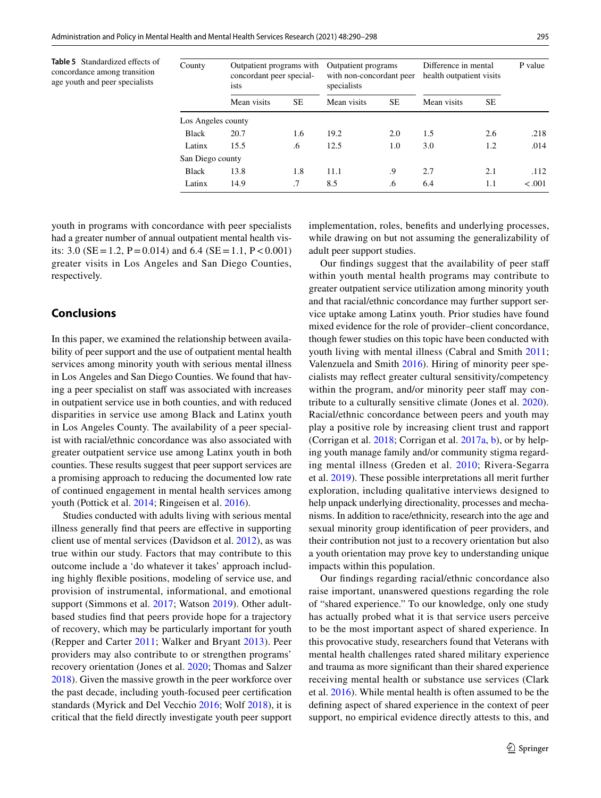<span id="page-5-0"></span>**Table 5** Standardized efects of concordance among transition age youth and peer specialists

| County             | Outpatient programs with<br>concordant peer special-<br>ists |     | Outpatient programs<br>with non-concordant peer<br>specialists |     | Difference in mental<br>health outpatient visits | P value |         |  |
|--------------------|--------------------------------------------------------------|-----|----------------------------------------------------------------|-----|--------------------------------------------------|---------|---------|--|
|                    | Mean visits                                                  | SE  | Mean visits                                                    | SE  | Mean visits                                      | SE.     |         |  |
| Los Angeles county |                                                              |     |                                                                |     |                                                  |         |         |  |
| <b>Black</b>       | 20.7                                                         | 1.6 | 19.2                                                           | 2.0 | 1.5                                              | 2.6     | .218    |  |
| Latinx             | 15.5                                                         | .6  | 12.5                                                           | 1.0 | 3.0                                              | 1.2     | .014    |  |
| San Diego county   |                                                              |     |                                                                |     |                                                  |         |         |  |
| <b>Black</b>       | 13.8                                                         | 1.8 | 11.1                                                           | .9  | 2.7                                              | 2.1     | .112    |  |
| Latinx             | 14.9                                                         | .7  | 8.5                                                            | .6  | 6.4                                              | 1.1     | $-.001$ |  |

youth in programs with concordance with peer specialists had a greater number of annual outpatient mental health visits: 3.0 ( $SE = 1.2$ ,  $P = 0.014$ ) and 6.4 ( $SE = 1.1$ ,  $P < 0.001$ ) greater visits in Los Angeles and San Diego Counties, respectively.

# **Conclusions**

In this paper, we examined the relationship between availability of peer support and the use of outpatient mental health services among minority youth with serious mental illness in Los Angeles and San Diego Counties. We found that having a peer specialist on staff was associated with increases in outpatient service use in both counties, and with reduced disparities in service use among Black and Latinx youth in Los Angeles County. The availability of a peer specialist with racial/ethnic concordance was also associated with greater outpatient service use among Latinx youth in both counties. These results suggest that peer support services are a promising approach to reducing the documented low rate of continued engagement in mental health services among youth (Pottick et al. [2014;](#page-7-25) Ringeisen et al. [2016\)](#page-7-26).

Studies conducted with adults living with serious mental illness generally fnd that peers are efective in supporting client use of mental services (Davidson et al. [2012\)](#page-7-16), as was true within our study. Factors that may contribute to this outcome include a 'do whatever it takes' approach including highly fexible positions, modeling of service use, and provision of instrumental, informational, and emotional support (Simmons et al. [2017;](#page-8-3) Watson [2019\)](#page-8-7). Other adultbased studies fnd that peers provide hope for a trajectory of recovery, which may be particularly important for youth (Repper and Carter [2011](#page-7-27); Walker and Bryant [2013](#page-8-8)). Peer providers may also contribute to or strengthen programs' recovery orientation (Jones et al. [2020](#page-7-28); Thomas and Salzer [2018](#page-8-9)). Given the massive growth in the peer workforce over the past decade, including youth-focused peer certifcation standards (Myrick and Del Vecchio [2016](#page-7-29); Wolf [2018\)](#page-8-10), it is critical that the feld directly investigate youth peer support implementation, roles, benefts and underlying processes, while drawing on but not assuming the generalizability of adult peer support studies.

Our fndings suggest that the availability of peer staf within youth mental health programs may contribute to greater outpatient service utilization among minority youth and that racial/ethnic concordance may further support service uptake among Latinx youth. Prior studies have found mixed evidence for the role of provider–client concordance, though fewer studies on this topic have been conducted with youth living with mental illness (Cabral and Smith [2011](#page-6-8); Valenzuela and Smith [2016\)](#page-8-11). Hiring of minority peer specialists may refect greater cultural sensitivity/competency within the program, and/or minority peer staff may contribute to a culturally sensitive climate (Jones et al. [2020](#page-7-28)). Racial/ethnic concordance between peers and youth may play a positive role by increasing client trust and rapport (Corrigan et al. [2018;](#page-7-30) Corrigan et al. [2017a,](#page-6-5) [b\)](#page-7-20), or by helping youth manage family and/or community stigma regarding mental illness (Greden et al. [2010](#page-7-31); Rivera-Segarra et al. [2019](#page-8-12)). These possible interpretations all merit further exploration, including qualitative interviews designed to help unpack underlying directionality, processes and mechanisms. In addition to race/ethnicity, research into the age and sexual minority group identifcation of peer providers, and their contribution not just to a recovery orientation but also a youth orientation may prove key to understanding unique impacts within this population.

Our fndings regarding racial/ethnic concordance also raise important, unanswered questions regarding the role of "shared experience." To our knowledge, only one study has actually probed what it is that service users perceive to be the most important aspect of shared experience. In this provocative study, researchers found that Veterans with mental health challenges rated shared military experience and trauma as more signifcant than their shared experience receiving mental health or substance use services (Clark et al. [2016](#page-6-9)). While mental health is often assumed to be the defning aspect of shared experience in the context of peer support, no empirical evidence directly attests to this, and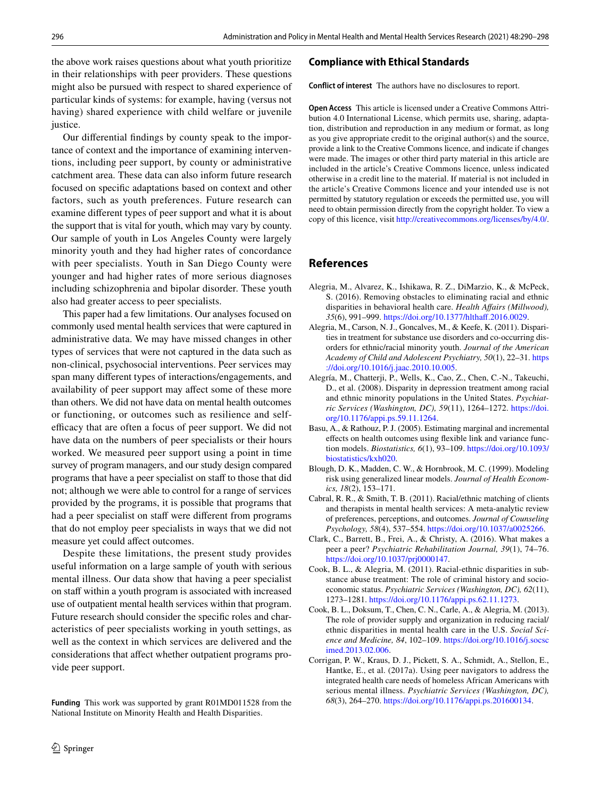the above work raises questions about what youth prioritize in their relationships with peer providers. These questions might also be pursued with respect to shared experience of particular kinds of systems: for example, having (versus not having) shared experience with child welfare or juvenile justice.

Our diferential fndings by county speak to the importance of context and the importance of examining interventions, including peer support, by county or administrative catchment area. These data can also inform future research focused on specifc adaptations based on context and other factors, such as youth preferences. Future research can examine diferent types of peer support and what it is about the support that is vital for youth, which may vary by county. Our sample of youth in Los Angeles County were largely minority youth and they had higher rates of concordance with peer specialists. Youth in San Diego County were younger and had higher rates of more serious diagnoses including schizophrenia and bipolar disorder. These youth also had greater access to peer specialists.

This paper had a few limitations. Our analyses focused on commonly used mental health services that were captured in administrative data. We may have missed changes in other types of services that were not captured in the data such as non-clinical, psychosocial interventions. Peer services may span many diferent types of interactions/engagements, and availability of peer support may afect some of these more than others. We did not have data on mental health outcomes or functioning, or outcomes such as resilience and selfefficacy that are often a focus of peer support. We did not have data on the numbers of peer specialists or their hours worked. We measured peer support using a point in time survey of program managers, and our study design compared programs that have a peer specialist on staff to those that did not; although we were able to control for a range of services provided by the programs, it is possible that programs that had a peer specialist on staff were different from programs that do not employ peer specialists in ways that we did not measure yet could afect outcomes.

Despite these limitations, the present study provides useful information on a large sample of youth with serious mental illness. Our data show that having a peer specialist on staff within a youth program is associated with increased use of outpatient mental health services within that program. Future research should consider the specifc roles and characteristics of peer specialists working in youth settings, as well as the context in which services are delivered and the considerations that afect whether outpatient programs provide peer support.

**Funding** This work was supported by grant R01MD011528 from the National Institute on Minority Health and Health Disparities.

## **Compliance with Ethical Standards**

**Conflict of interest** The authors have no disclosures to report.

**Open Access** This article is licensed under a Creative Commons Attribution 4.0 International License, which permits use, sharing, adaptation, distribution and reproduction in any medium or format, as long as you give appropriate credit to the original author(s) and the source, provide a link to the Creative Commons licence, and indicate if changes were made. The images or other third party material in this article are included in the article's Creative Commons licence, unless indicated otherwise in a credit line to the material. If material is not included in the article's Creative Commons licence and your intended use is not permitted by statutory regulation or exceeds the permitted use, you will need to obtain permission directly from the copyright holder. To view a copy of this licence, visit<http://creativecommons.org/licenses/by/4.0/>.

## **References**

- <span id="page-6-0"></span>Alegria, M., Alvarez, K., Ishikawa, R. Z., DiMarzio, K., & McPeck, S. (2016). Removing obstacles to eliminating racial and ethnic disparities in behavioral health care. *Health Afairs (Millwood), 35*(6), 991–999. [https://doi.org/10.1377/hlthaf.2016.0029.](https://doi.org/10.1377/hlthaff.2016.0029)
- <span id="page-6-1"></span>Alegria, M., Carson, N. J., Goncalves, M., & Keefe, K. (2011). Disparities in treatment for substance use disorders and co-occurring disorders for ethnic/racial minority youth. *Journal of the American Academy of Child and Adolescent Psychiatry, 50*(1), 22–31. [https](https://doi.org/10.1016/j.jaac.2010.10.005) [://doi.org/10.1016/j.jaac.2010.10.005](https://doi.org/10.1016/j.jaac.2010.10.005).
- <span id="page-6-2"></span>Alegría, M., Chatterji, P., Wells, K., Cao, Z., Chen, C.-N., Takeuchi, D., et al. (2008). Disparity in depression treatment among racial and ethnic minority populations in the United States. *Psychiatric Services (Washington, DC), 59*(11), 1264–1272. [https://doi.](https://doi.org/10.1176/appi.ps.59.11.1264) [org/10.1176/appi.ps.59.11.1264.](https://doi.org/10.1176/appi.ps.59.11.1264)
- <span id="page-6-7"></span>Basu, A., & Rathouz, P. J. (2005). Estimating marginal and incremental efects on health outcomes using fexible link and variance function models. *Biostatistics, 6*(1), 93–109. [https://doi.org/10.1093/](https://doi.org/10.1093/biostatistics/kxh020) [biostatistics/kxh020.](https://doi.org/10.1093/biostatistics/kxh020)
- <span id="page-6-6"></span>Blough, D. K., Madden, C. W., & Hornbrook, M. C. (1999). Modeling risk using generalized linear models. *Journal of Health Economics, 18*(2), 153–171.
- <span id="page-6-8"></span>Cabral, R. R., & Smith, T. B. (2011). Racial/ethnic matching of clients and therapists in mental health services: A meta-analytic review of preferences, perceptions, and outcomes. *Journal of Counseling Psychology, 58*(4), 537–554. [https://doi.org/10.1037/a0025266.](https://doi.org/10.1037/a0025266)
- <span id="page-6-9"></span>Clark, C., Barrett, B., Frei, A., & Christy, A. (2016). What makes a peer a peer? *Psychiatric Rehabilitation Journal, 39*(1), 74–76. <https://doi.org/10.1037/prj0000147>.
- <span id="page-6-3"></span>Cook, B. L., & Alegria, M. (2011). Racial-ethnic disparities in substance abuse treatment: The role of criminal history and socioeconomic status. *Psychiatric Services (Washington, DC), 62*(11), 1273–1281. [https://doi.org/10.1176/appi.ps.62.11.1273.](https://doi.org/10.1176/appi.ps.62.11.1273)
- <span id="page-6-4"></span>Cook, B. L., Doksum, T., Chen, C. N., Carle, A., & Alegria, M. (2013). The role of provider supply and organization in reducing racial/ ethnic disparities in mental health care in the U.S. *Social Science and Medicine, 84*, 102–109. [https://doi.org/10.1016/j.socsc](https://doi.org/10.1016/j.socscimed.2013.02.006) [imed.2013.02.006](https://doi.org/10.1016/j.socscimed.2013.02.006).
- <span id="page-6-5"></span>Corrigan, P. W., Kraus, D. J., Pickett, S. A., Schmidt, A., Stellon, E., Hantke, E., et al. (2017a). Using peer navigators to address the integrated health care needs of homeless African Americans with serious mental illness. *Psychiatric Services (Washington, DC), 68*(3), 264–270. [https://doi.org/10.1176/appi.ps.201600134.](https://doi.org/10.1176/appi.ps.201600134)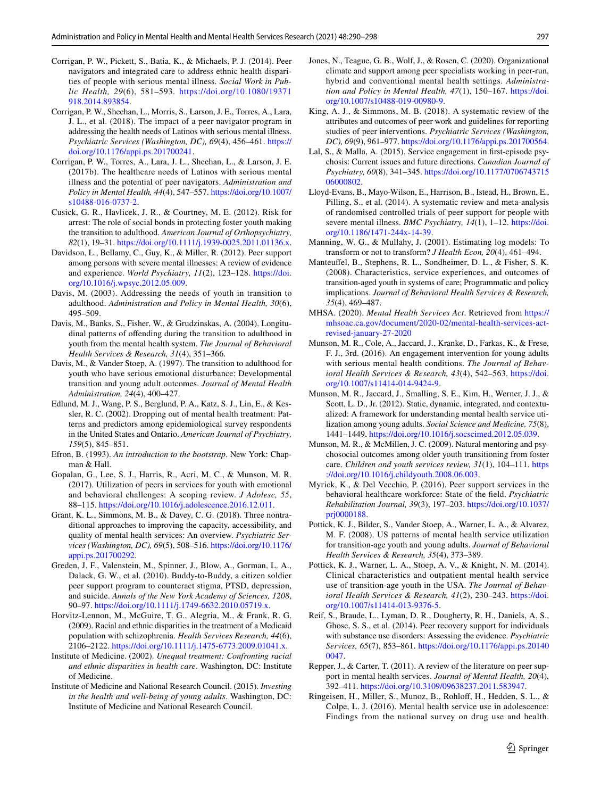- <span id="page-7-21"></span>Corrigan, P. W., Pickett, S., Batia, K., & Michaels, P. J. (2014). Peer navigators and integrated care to address ethnic health disparities of people with serious mental illness. *Social Work in Public Health, 29*(6), 581–593. [https://doi.org/10.1080/19371](https://doi.org/10.1080/19371918.2014.893854) [918.2014.893854](https://doi.org/10.1080/19371918.2014.893854).
- <span id="page-7-30"></span>Corrigan, P. W., Sheehan, L., Morris, S., Larson, J. E., Torres, A., Lara, J. L., et al. (2018). The impact of a peer navigator program in addressing the health needs of Latinos with serious mental illness. *Psychiatric Services (Washington, DC), 69*(4), 456–461. [https://](https://doi.org/10.1176/appi.ps.201700241) [doi.org/10.1176/appi.ps.201700241.](https://doi.org/10.1176/appi.ps.201700241)
- <span id="page-7-20"></span>Corrigan, P. W., Torres, A., Lara, J. L., Sheehan, L., & Larson, J. E. (2017b). The healthcare needs of Latinos with serious mental illness and the potential of peer navigators. *Administration and Policy in Mental Health, 44*(4), 547–557. [https://doi.org/10.1007/](https://doi.org/10.1007/s10488-016-0737-2) [s10488-016-0737-2.](https://doi.org/10.1007/s10488-016-0737-2)
- <span id="page-7-0"></span>Cusick, G. R., Havlicek, J. R., & Courtney, M. E. (2012). Risk for arrest: The role of social bonds in protecting foster youth making the transition to adulthood. *American Journal of Orthopsychiatry, 82*(1), 19–31.<https://doi.org/10.1111/j.1939-0025.2011.01136.x>.
- <span id="page-7-16"></span>Davidson, L., Bellamy, C., Guy, K., & Miller, R. (2012). Peer support among persons with severe mental illnesses: A review of evidence and experience. *World Psychiatry, 11*(2), 123–128. [https://doi.](https://doi.org/10.1016/j.wpsyc.2012.05.009) [org/10.1016/j.wpsyc.2012.05.009.](https://doi.org/10.1016/j.wpsyc.2012.05.009)
- <span id="page-7-1"></span>Davis, M. (2003). Addressing the needs of youth in transition to adulthood. *Administration and Policy in Mental Health, 30*(6), 495–509.
- <span id="page-7-3"></span>Davis, M., Banks, S., Fisher, W., & Grudzinskas, A. (2004). Longitudinal patterns of ofending during the transition to adulthood in youth from the mental health system. *The Journal of Behavioral Health Services & Research, 31*(4), 351–366.
- <span id="page-7-4"></span>Davis, M., & Vander Stoep, A. (1997). The transition to adulthood for youth who have serious emotional disturbance: Developmental transition and young adult outcomes. *Journal of Mental Health Administration, 24*(4), 400–427.
- <span id="page-7-5"></span>Edlund, M. J., Wang, P. S., Berglund, P. A., Katz, S. J., Lin, E., & Kessler, R. C. (2002). Dropping out of mental health treatment: Patterns and predictors among epidemiological survey respondents in the United States and Ontario. *American Journal of Psychiatry, 159*(5), 845–851.
- <span id="page-7-24"></span>Efron, B. (1993). *An introduction to the bootstrap*. New York: Chapman & Hall.
- <span id="page-7-14"></span>Gopalan, G., Lee, S. J., Harris, R., Acri, M. C., & Munson, M. R. (2017). Utilization of peers in services for youth with emotional and behavioral challenges: A scoping review. *J Adolesc, 55*, 88–115.<https://doi.org/10.1016/j.adolescence.2016.12.011>.
- <span id="page-7-11"></span>Grant, K. L., Simmons, M. B., & Davey, C. G. (2018). Three nontraditional approaches to improving the capacity, accessibility, and quality of mental health services: An overview. *Psychiatric Services (Washington, DC), 69*(5), 508–516. [https://doi.org/10.1176/](https://doi.org/10.1176/appi.ps.201700292) [appi.ps.201700292](https://doi.org/10.1176/appi.ps.201700292).
- <span id="page-7-31"></span>Greden, J. F., Valenstein, M., Spinner, J., Blow, A., Gorman, L. A., Dalack, G. W., et al. (2010). Buddy-to-Buddy, a citizen soldier peer support program to counteract stigma, PTSD, depression, and suicide. *Annals of the New York Academy of Sciences, 1208*, 90–97. <https://doi.org/10.1111/j.1749-6632.2010.05719.x>.
- <span id="page-7-10"></span>Horvitz-Lennon, M., McGuire, T. G., Alegria, M., & Frank, R. G. (2009). Racial and ethnic disparities in the treatment of a Medicaid population with schizophrenia. *Health Services Research, 44*(6), 2106–2122. <https://doi.org/10.1111/j.1475-6773.2009.01041.x>.
- <span id="page-7-8"></span>Institute of Medicine. (2002). *Unequal treatment: Confronting racial and ethnic disparities in health care*. Washington, DC: Institute of Medicine.
- <span id="page-7-9"></span>Institute of Medicine and National Research Council. (2015). *Investing in the health and well-being of young adults*. Washington, DC: Institute of Medicine and National Research Council.
- <span id="page-7-28"></span>Jones, N., Teague, G. B., Wolf, J., & Rosen, C. (2020). Organizational climate and support among peer specialists working in peer-run, hybrid and conventional mental health settings. *Administration and Policy in Mental Health, 47*(1), 150–167. [https://doi.](https://doi.org/10.1007/s10488-019-00980-9) [org/10.1007/s10488-019-00980-9](https://doi.org/10.1007/s10488-019-00980-9).
- <span id="page-7-19"></span>King, A. J., & Simmons, M. B. (2018). A systematic review of the attributes and outcomes of peer work and guidelines for reporting studies of peer interventions. *Psychiatric Services (Washington, DC), 69*(9), 961–977.<https://doi.org/10.1176/appi.ps.201700564>.
- <span id="page-7-12"></span>Lal, S., & Malla, A. (2015). Service engagement in frst-episode psychosis: Current issues and future directions. *Canadian Journal of Psychiatry, 60*(8), 341–345. [https://doi.org/10.1177/0706743715](https://doi.org/10.1177/070674371506000802) [06000802](https://doi.org/10.1177/070674371506000802).
- <span id="page-7-17"></span>Lloyd-Evans, B., Mayo-Wilson, E., Harrison, B., Istead, H., Brown, E., Pilling, S., et al. (2014). A systematic review and meta-analysis of randomised controlled trials of peer support for people with severe mental illness. *BMC Psychiatry, 14*(1), 1–12. [https://doi.](https://doi.org/10.1186/1471-244x-14-39) [org/10.1186/1471-244x-14-39](https://doi.org/10.1186/1471-244x-14-39).
- <span id="page-7-23"></span>Manning, W. G., & Mullahy, J. (2001). Estimating log models: To transform or not to transform? *J Health Econ, 20*(4), 461–494.
- <span id="page-7-6"></span>Manteufel, B., Stephens, R. L., Sondheimer, D. L., & Fisher, S. K. (2008). Characteristics, service experiences, and outcomes of transition-aged youth in systems of care; Programmatic and policy implications. *Journal of Behavioral Health Services & Research, 35*(4), 469–487.
- <span id="page-7-22"></span>MHSA. (2020). *Mental Health Services Act*. Retrieved from [https://](http://mhsoac.ca.gov/document/2020-02/mental-health-services-act-revised-january-27-2020) [mhsoac.ca.gov/document/2020-02/mental-health-services-act](http://mhsoac.ca.gov/document/2020-02/mental-health-services-act-revised-january-27-2020)[revised-january-27-2020](http://mhsoac.ca.gov/document/2020-02/mental-health-services-act-revised-january-27-2020)
- <span id="page-7-15"></span>Munson, M. R., Cole, A., Jaccard, J., Kranke, D., Farkas, K., & Frese, F. J., 3rd. (2016). An engagement intervention for young adults with serious mental health conditions. *The Journal of Behavioral Health Services & Research, 43*(4), 542–563. [https://doi.](https://doi.org/10.1007/s11414-014-9424-9) [org/10.1007/s11414-014-9424-9.](https://doi.org/10.1007/s11414-014-9424-9)
- <span id="page-7-13"></span>Munson, M. R., Jaccard, J., Smalling, S. E., Kim, H., Werner, J. J., & Scott, L. D., Jr. (2012). Static, dynamic, integrated, and contextualized: A framework for understanding mental health service utilization among young adults. *Social Science and Medicine, 75*(8), 1441–1449. [https://doi.org/10.1016/j.socscimed.2012.05.039.](https://doi.org/10.1016/j.socscimed.2012.05.039)
- <span id="page-7-2"></span>Munson, M. R., & McMillen, J. C. (2009). Natural mentoring and psychosocial outcomes among older youth transitioning from foster care. *Children and youth services review, 31*(1), 104–111. [https](https://doi.org/10.1016/j.childyouth.2008.06.003) [://doi.org/10.1016/j.childyouth.2008.06.003.](https://doi.org/10.1016/j.childyouth.2008.06.003)
- <span id="page-7-29"></span>Myrick, K., & Del Vecchio, P. (2016). Peer support services in the behavioral healthcare workforce: State of the feld. *Psychiatric Rehabilitation Journal, 39*(3), 197–203. [https://doi.org/10.1037/](https://doi.org/10.1037/prj0000188) [prj0000188.](https://doi.org/10.1037/prj0000188)
- <span id="page-7-7"></span>Pottick, K. J., Bilder, S., Vander Stoep, A., Warner, L. A., & Alvarez, M. F. (2008). US patterns of mental health service utilization for transition-age youth and young adults. *Journal of Behavioral Health Services & Research, 35*(4), 373–389.
- <span id="page-7-25"></span>Pottick, K. J., Warner, L. A., Stoep, A. V., & Knight, N. M. (2014). Clinical characteristics and outpatient mental health service use of transition-age youth in the USA. *The Journal of Behavioral Health Services & Research, 41*(2), 230–243. [https://doi.](https://doi.org/10.1007/s11414-013-9376-5) [org/10.1007/s11414-013-9376-5.](https://doi.org/10.1007/s11414-013-9376-5)
- <span id="page-7-18"></span>Reif, S., Braude, L., Lyman, D. R., Dougherty, R. H., Daniels, A. S., Ghose, S. S., et al. (2014). Peer recovery support for individuals with substance use disorders: Assessing the evidence. *Psychiatric Services, 65*(7), 853–861. [https://doi.org/10.1176/appi.ps.20140](https://doi.org/10.1176/appi.ps.201400047) [0047](https://doi.org/10.1176/appi.ps.201400047).
- <span id="page-7-27"></span>Repper, J., & Carter, T. (2011). A review of the literature on peer support in mental health services. *Journal of Mental Health, 20*(4), 392–411.<https://doi.org/10.3109/09638237.2011.583947>.
- <span id="page-7-26"></span>Ringeisen, H., Miller, S., Munoz, B., Rohloff, H., Hedden, S. L., & Colpe, L. J. (2016). Mental health service use in adolescence: Findings from the national survey on drug use and health.